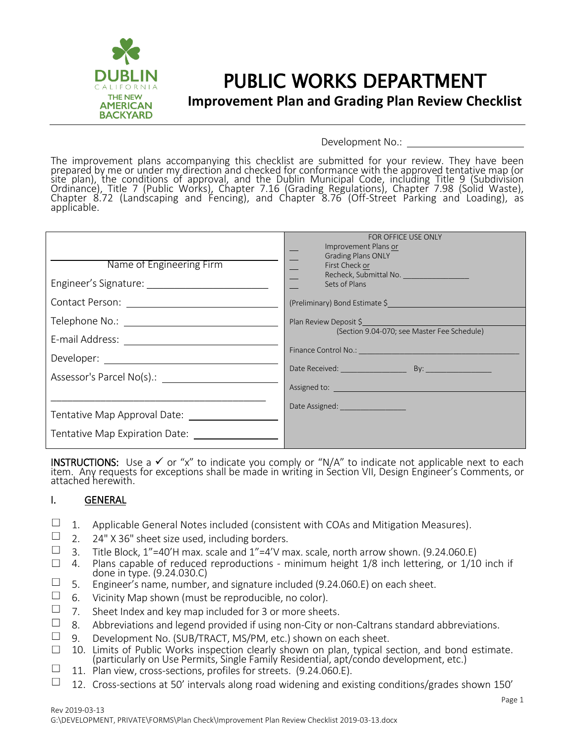

### PUBLIC WORKS DEPARTMENT **Improvement Plan and Grading Plan Review Checklist**

Development No.:

The improvement plans accompanying this checklist are submitted for your review. They have been prepared by me or under my direction and checked for conformance with the approved tentative map (or site plan), the conditions of approval, and the Dublin Municipal Code, including Title 9 (Subdivision Ordinance), Title 7 (Public Works), Chapter 7.16 (Grading Regulations), Chapter 7.98 (Solid Waste), Chapter 8.72 (Landscaping and Fencing), and Chapter 8.76 (Off-Street Parking and Loading), as applicable.

| Name of Engineering Firm                                                                                      | FOR OFFICE USE ONLY<br>Improvement Plans or<br><b>Grading Plans ONLY</b><br>First Check or<br>Sets of Plans<br>(Preliminary) Bond Estimate \$                                                                                                                                                                 |
|---------------------------------------------------------------------------------------------------------------|---------------------------------------------------------------------------------------------------------------------------------------------------------------------------------------------------------------------------------------------------------------------------------------------------------------|
| E-mail Address: 2008. 2009. 2010. 2010. 2011. 2012. 2012. 2013. 2014. 2015. 2016. 2017. 2018. 2019. 2017. 201 | Plan Review Deposit \$<br>(Section 9.04-070; see Master Fee Schedule)<br>Assigned to: <u>contract and contract and contract and contract and contract and contract and contract and contract and contract and contract and contract and contract and contract and contract and contract and contract and </u> |
|                                                                                                               | Date Assigned: ___________________                                                                                                                                                                                                                                                                            |

INSTRUCTIONS: Use a  $\checkmark$  or "x" to indicate you comply or "N/A" to indicate not applicable next to each item. Any requests for exceptions shall be made in writing in Section VII, Design Engineer's Comments, or attached herewith.

#### I. GENERAL

- □ 1. Applicable General Notes included (consistent with COAs and Mitigation Measures).<br>□ 2 24" X 36" sheet size used including borders
- $□$  2. 24" X 36" sheet size used, including borders.<br>□ 3 Title Block 1"-40'H may scale and 1"-4'V m
- □ 3. Title Block, 1"=40'H max. scale and 1"=4'V max. scale, north arrow shown. (9.24.060.E)<br>□ 4. Plans capable of reduced reproductions minimum height 1/8 inch lettering, or 1/10
- 4. Plans capable of reduced reproductions minimum height 1/8 inch lettering, or 1/10 inch if done in type. (9.24.030.C)
- $\Box$  5. Engineer's name, number, and signature included (9.24.060.E) on each sheet.
- □ 6. Vicinity Map shown (must be reproducible, no color).<br>□ 7 Sheet Index and key man included for 3 or more shee
- $\Box$  7. Sheet Index and key map included for 3 or more sheets.<br> $\Box$  8. Abbroviations and logond provided if using non-City or n
- □ 8. Abbreviations and legend provided if using non-City or non-Caltrans standard abbreviations.<br>□ 9 Development No (SUB/TRACT MS/PM etc.) shown on each sheet
- 9. Development No. (SUB/TRACT, MS/PM, etc.) shown on each sheet.
- ☐ 10. Limits of Public Works inspection clearly shown on plan, typical section, and bond estimate. (particularly on Use Permits, Single Family Residential, apt/condo development, etc.)
- $\Box$  11. Plan view, cross-sections, profiles for streets. (9.24.060.E).
- $\Box$  12. Cross-sections at 50' intervals along road widening and existing conditions/grades shown 150'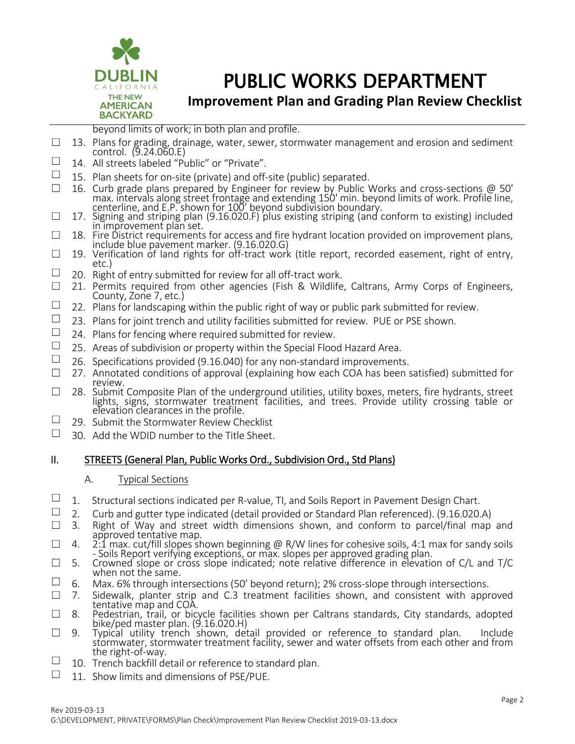

**Improvement Plan and Grading Plan Review Checklist**

beyond limits of work; in both plan and profile.

- □ 13. Plans for grading, drainage, water, sewer, stormwater management and erosion and sediment control. (9.24.060.E)
- $\Box$  14. All streets labeled "Public" or "Private".
- 15. Plan sheets for on-site (private) and off-site (public) separated.
- ☐ 16. Curb grade plans prepared by Engineer for review by Public Works and cross-sections @ 50' max. intervals along street frontage and extending 150' min. beyond limits of work. Profile line, centerline, and E.P. shown for 100' beyond subdivision boundary.
- $\Box$  17. Signing and striping plan (9.16.020.F) plus existing striping (and conform to existing) included in improvement plan set.
- $\Box$  18. Fire District requirements for access and fire hydrant location provided on improvement plans, include blue pavement marker. (9.16.020.G)
- $\Box$  19. Verification of land rights for off-tract work (title report, recorded easement, right of entry, etc.)
- $\Box$  20. Right of entry submitted for review for all off-tract work.
- $\Box$  21. Permits required from other agencies (Fish & Wildlife, Caltrans, Army Corps of Engineers, County, Zone 7, etc.)
- $\Box$  22. Plans for landscaping within the public right of way or public park submitted for review.
- $\Box$  23. Plans for joint trench and utility facilities submitted for review. PUE or PSE shown.
- $\Box$  24. Plans for fencing where required submitted for review.
- $\Box$  25. Areas of subdivision or property within the Special Flood Hazard Area.
- □ 26. Specifications provided (9.16.040) for any non-standard improvements.<br>□ 27. Annotated conditions of approval (explaining how each COA has been
- 27. Annotated conditions of approval (explaining how each COA has been satisfied) submitted for review.
- □ 28. Submit Composite Plan of the underground utilities, utility boxes, meters, fire hydrants, street lights, signs, stormwater treatment facilities, and trees. Provide utility crossing table or elevation clearances in the profile.
- $\Box$  29. Submit the Stormwater Review Checklist<br> $\Box$  30. Add the WDID pumber to the Title Sheet
- ☐ 30. Add the WDID number to the Title Sheet.

#### II. STREETS (General Plan, Public Works Ord., Subdivision Ord., Std Plans)

#### A. Typical Sections

- $\Box$  1. Structural sections indicated per R-value, TI, and Soils Report in Pavement Design Chart.
- $\Box$  2. Curb and gutter type indicated (detail provided or Standard Plan referenced). (9.16.020.A)
- □ 3. Right of Way and street width dimensions shown, and conform to parcel/final map and approved tentative map.
- $\Box$  4. 2:1 max. cut/fill slopes shown beginning @ R/W lines for cohesive soils, 4:1 max for sandy soils - Soils Report verifying exceptions, or max. slopes per approved grading plan.
- $\square$  5. Crowned slope or cross slope indicated; note relative difference in elevation of C/L and T/C when not the same.
- $\Box$  6. Max. 6% through intersections (50' beyond return); 2% cross-slope through intersections.
- □ 7. Sidewalk, planter strip and C.3 treatment facilities shown, and consistent with approved tentative map and COA.
- ☐ 8. Pedestrian, trail, or bicycle facilities shown per Caltrans standards, City standards, adopted bike/ped master plan. (9.16.020.H)
- $\square$  9. Typical utility trench shown, detail provided or reference to standard plan. Include stormwater, stormwater treatment facility, sewer and water offsets from each other and from the right-of-way.
- $\Box$  10. Trench backfill detail or reference to standard plan.
- $\Box$  11. Show limits and dimensions of PSE/PUE.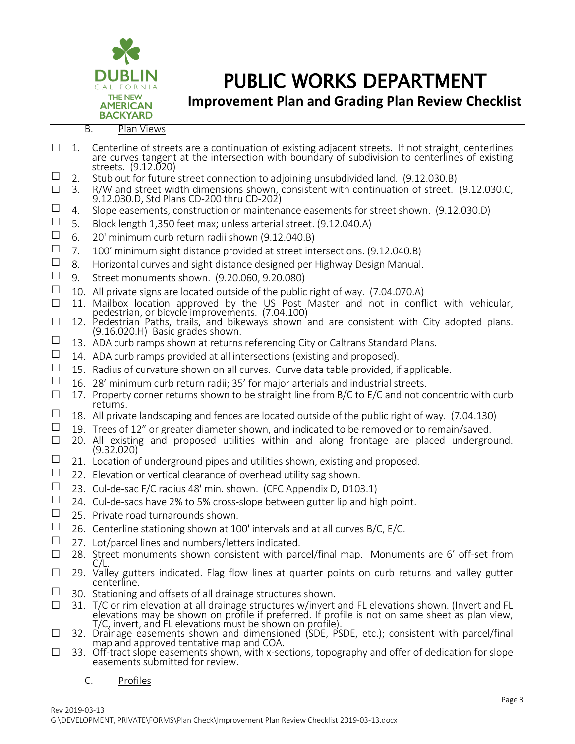

**Improvement Plan and Grading Plan Review Checklist**

- $\Box$  1. Centerline of streets are a continuation of existing adjacent streets. If not straight, centerlines are curves tangent at the intersection with boundary of subdivision to centerlines of existing streets. (9.12.020)  $\Box$  2. Stub out for future street connection to adjoining unsubdivided land. (9.12.030.B) ☐ 3. R/W and street width dimensions shown, consistent with continuation of street. (9.12.030.C, 9.12.030.D, Std Plans CD-200 thru CD-202) □ 4. Slope easements, construction or maintenance easements for street shown. (9.12.030.D)<br>□ 5 Rlock length 1.350 feet max: unless arterial street (9.12.040 A) □ 5. Block length 1,350 feet max; unless arterial street. (9.12.040.A)<br>□ 6 20' minimum curb return radii shown (9.12.040.B) □ 6. 20' minimum curb return radii shown (9.12.040.B)<br>□ 7 100' minimum sight distance provided at street int □ 7. 100' minimum sight distance provided at street intersections. (9.12.040.B)<br>□ 8 Horizontal curves and sight distance designed per Highway Design Manual 8. Horizontal curves and sight distance designed per Highway Design Manual. ☐ 9. Street monuments shown. (9.20.060, 9.20.080)  $\Box$  10. All private signs are located outside of the public right of way. (7.04.070.A) □ 11. Mailbox location approved by the US Post Master and not in conflict with vehicular, pedestrian, or bicycle improvements. (7.04.100)  $\Box$  12. Pedestrian Paths, trails, and bikeways shown and are consistent with City adopted plans. (9.16.020.H) Basic grades shown.  $\Box$  13. ADA curb ramps shown at returns referencing City or Caltrans Standard Plans.  $\Box$  14. ADA curb ramps provided at all intersections (existing and proposed). □ 15. Radius of curvature shown on all curves. Curve data table provided, if applicable.<br>□ 16. 28' minimum curb return radii: 35' for maior arterials and industrial streets □ 16. 28' minimum curb return radii; 35' for major arterials and industrial streets.<br>□ 17 Property corner returns shown to be straight line from B/C to E/C and not co 17. Property corner returns shown to be straight line from B/C to E/C and not concentric with curb returns.  $\Box$  18. All private landscaping and fences are located outside of the public right of way. (7.04.130) □ 19. Trees of 12" or greater diameter shown, and indicated to be removed or to remain/saved.<br>□ 20. All existing and proposed utilities within and along frontage are placed undergro ☐ 20. All existing and proposed utilities within and along frontage are placed underground.
- (9.32.020)  $\Box$  21. Location of underground pipes and utilities shown, existing and proposed.<br> $\Box$  22. Elevation or vertical clearance of overhoad utility sag shown.
- 22. Elevation or vertical clearance of overhead utility sag shown.
- □ 23. Cul-de-sac F/C radius 48' min. shown. (CFC Appendix D, D103.1)<br>□ 24. Cul-de-sacs have 2% to 5% cross-slope between gutter lip and his
- 24. Cul-de-sacs have 2% to 5% cross-slope between gutter lip and high point.
- $\Box$  25. Private road turnarounds shown.
- □ 26. Centerline stationing shown at 100' intervals and at all curves B/C, E/C.<br>□ 27. Lot/parcel lines and numbers/letters indicated
- $\Box$  27. Lot/parcel lines and numbers/letters indicated.<br>  $\Box$  28. Street monuments shown consistent with par-
- 28. Street monuments shown consistent with parcel/final map. Monuments are 6' off-set from C/L.
- $\Box$  29. Valley gutters indicated. Flag flow lines at quarter points on curb returns and valley gutter centerline.
- $\Box$  30. Stationing and offsets of all drainage structures shown.
- ☐ 31. T/C or rim elevation at all drainage structures w/invert and FL elevations shown. (Invert and FL elevations may be shown on profile if preferred. If profile is not on same sheet as plan view, T/C, invert, and FL elevations must be shown on profile).
- □ 32. Drainage easements shown and dimensioned (SDE, PSDE, etc.); consistent with parcel/final map and approved tentative map and COA.
- $\square$  33. Off-tract slope easements shown, with x-sections, topography and offer of dedication for slope easements submitted for review.

#### C. Profiles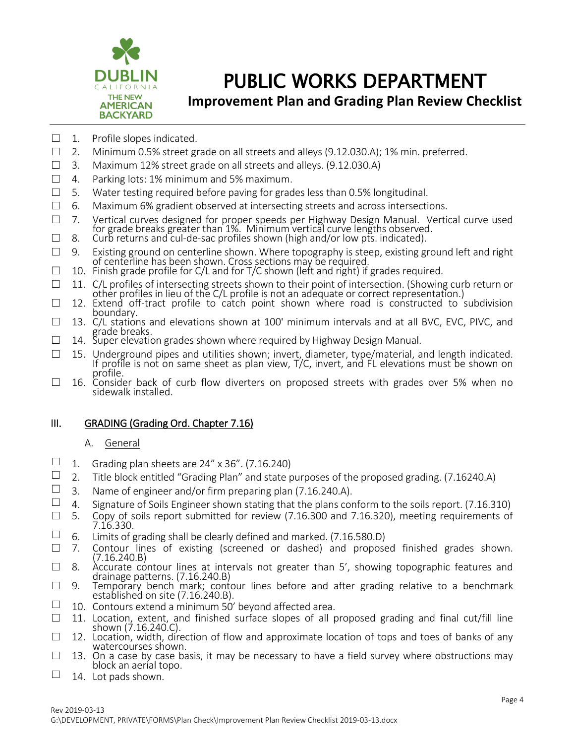

### **Improvement Plan and Grading Plan Review Checklist**

- $\Box$  1. Profile slopes indicated.
- $\Box$  2. Minimum 0.5% street grade on all streets and alleys (9.12.030.A); 1% min. preferred.
- $\Box$  3. Maximum 12% street grade on all streets and alleys. (9.12.030.A)
- $\Box$  4. Parking lots: 1% minimum and 5% maximum.
- $\Box$  5. Water testing required before paving for grades less than 0.5% longitudinal.
- $\Box$  6. Maximum 6% gradient observed at intersecting streets and across intersections.
- □ 7. Vertical curves designed for proper speeds per Highway Design Manual. Vertical curve used for grade breaks greater than 1%. Minimum vertical curve lengths observed.
- $\Box$  8. Curb returns and cul-de-sac profiles shown (high and/or low pts. indicated).
- ☐ 9. Existing ground on centerline shown. Where topography is steep, existing ground left and right of centerline has been shown. Cross sections may be required.
- ☐ 10. Finish grade profile for C/L and for T/C shown (left and right) if grades required.

□ 11. C/L profiles of intersecting streets shown to their point of intersection. (Showing curb return or other profiles in lieu of the C/L profile is not an adequate or correct representation.)

- $\square$  12. Extend off-tract profile to catch point shown where road is constructed to subdivision boundary.
- $\square$  13. C/L stations and elevations shown at 100' minimum intervals and at all BVC, EVC, PIVC, and grade breaks.
- $\Box$  14. Super elevation grades shown where required by Highway Design Manual.
- □ 15. Underground pipes and utilities shown; invert, diameter, type/material, and length indicated. If profile is not on same sheet as plan view, T/C, invert, and FL elevations must be shown on profile.
- □ 16. Consider back of curb flow diverters on proposed streets with grades over 5% when no sidewalk installed.

#### III. GRADING (Grading Ord. Chapter 7.16)

#### A. General

- □ 1. Grading plan sheets are  $24'' \times 36''$ . (7.16.240)<br>□ 2 Title block entitled "Grading Plan" and state r
- 2. Title block entitled "Grading Plan" and state purposes of the proposed grading. (7.16240.A)
- □ 3. Name of engineer and/or firm preparing plan (7.16.240.A).<br>□ 4 Signature of Soils Engineer shown stating that the plans cou
- 4. Signature of Soils Engineer shown stating that the plans conform to the soils report. (7.16.310)
- $\square$  5. Copy of soils report submitted for review (7.16.300 and 7.16.320), meeting requirements of 7.16.330.
- □ 6. Limits of grading shall be clearly defined and marked. (7.16.580.D)<br>□ 7. Contour lines of existing (screened or dashed) and propose
- Contour lines of existing (screened or dashed) and proposed finished grades shown. (7.16.240.B)
- □ 8. Accurate contour lines at intervals not greater than 5', showing topographic features and drainage patterns. (7.16.240.B)
- $\Box$  9. Temporary bench mark; contour lines before and after grading relative to a benchmark established on site (7.16.240.B).
- $\Box$  10. Contours extend a minimum 50' beyond affected area.
- □ 11. Location, extent, and finished surface slopes of all proposed grading and final cut/fill line shown (7.16.240.C).
- $\Box$  12. Location, width, direction of flow and approximate location of tops and toes of banks of any watercourses shown.
- $\square$  13. On a case by case basis, it may be necessary to have a field survey where obstructions may block an aerial topo.
- $\Box$  14. Lot pads shown.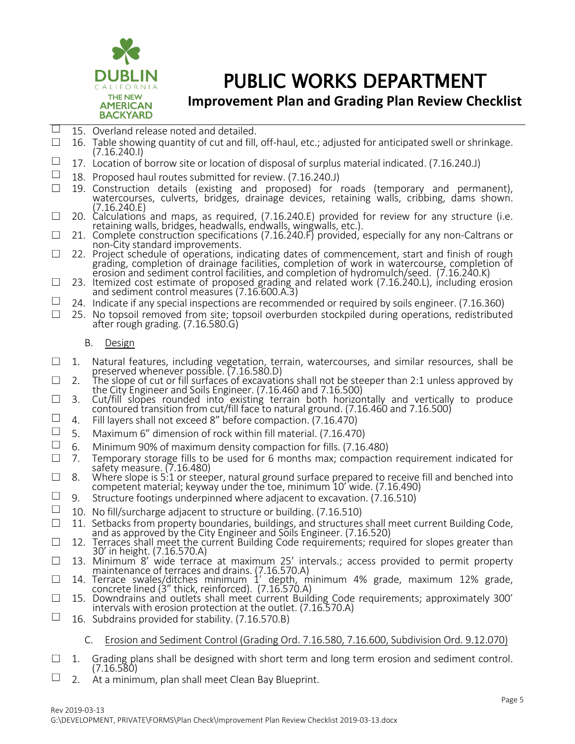

### **Improvement Plan and Grading Plan Review Checklist**

- $\Box$  15. Overland release noted and detailed.
- $\Box$  16. Table showing quantity of cut and fill, off-haul, etc.; adjusted for anticipated swell or shrinkage. (7.16.240.I)
- □ 17. Location of borrow site or location of disposal of surplus material indicated. (7.16.240.J)<br>□ 18. Proposed haul routes submitted for review (7.16.240.J)
- 18. Proposed haul routes submitted for review. (7.16.240.J)
- ☐ 19. Construction details (existing and proposed) for roads (temporary and permanent), watercourses, culverts, bridges, drainage devices, retaining walls, cribbing, dams shown. (7.16.240.E)
- $\Box$  20. Calculations and maps, as required, (7.16.240.E) provided for review for any structure (i.e. retaining walls, bridges, headwalls, endwalls, wingwalls, etc.).
- ☐ 21. Complete construction specifications (7.16.240.F) provided, especially for any non-Caltrans or non-City standard improvements.
- ☐ 22. Project schedule of operations, indicating dates of commencement, start and finish of rough grading, completion of drainage facilities, completion of work in watercourse, completion of erosion and sediment control facilities, and completion of hydromulch/seed. (7.16.240.K)
- $\Box$  23. Itemized cost estimate of proposed grading and related work (7.16.240.L), including erosion and sediment control measures (7.16.600.A.3)
- $\Box$  24. Indicate if any special inspections are recommended or required by soils engineer. (7.16.360)
- □ 25. No topsoil removed from site; topsoil overburden stockpiled during operations, redistributed after rough grading. (7.16.580.G)
	- B. Design
- □ 1. Natural features, including vegetation, terrain, watercourses, and similar resources, shall be preserved whenever possible. (7.16.580.D)
- $\Box$  2. The slope of cut or fill surfaces of excavations shall not be steeper than 2:1 unless approved by the City Engineer and Soils Engineer. (7.16.460 and 7.16.500)
- $\Box$  3. Cut/fill slopes rounded into existing terrain both horizontally and vertically to produce contoured transition from cut/fill face to natural ground. (7.16.460 and 7.16.500)
- $\Box$  4. Fill layers shall not exceed 8" before compaction. (7.16.470)
- □ 5. Maximum 6" dimension of rock within fill material. (7.16.470)<br>□ 6 Minimum 90% of maximum density compaction for fills (7.16
- ☐ 6. Minimum 90% of maximum density compaction for fills. (7.16.480)
- $\Box$  7. Temporary storage fills to be used for 6 months max; compaction requirement indicated for safety measure. (7.16.480)
- $\Box$  8. Where slope is 5:1 or steeper, natural ground surface prepared to receive fill and benched into competent material; keyway under the toe, minimum 10' wide. (7.16.490)
- $\Box$  9. Structure footings underpinned where adjacent to excavation. (7.16.510)
- $\Box$  10. No fill/surcharge adjacent to structure or building. (7.16.510)
- ☐ 11. Setbacks from property boundaries, buildings, and structures shall meet current Building Code, and as approved by the City Engineer and Soils Engineer. (7.16.520)
- □ 12. Terraces shall meet the current Building Code requirements; required for slopes greater than 30' in height. (7.16.570.A)
- $\Box$  13. Minimum 8' wide terrace at maximum 25' intervals.; access provided to permit property maintenance of terraces and drains. (7.16.570.A)
- $\Box$  14. Terrace swales/ditches minimum 1' depth, minimum 4% grade, maximum 12% grade, concrete lined (3" thick, reinforced). (7.16.570.A)
- ☐ 15. Downdrains and outlets shall meet current Building Code requirements; approximately 300' intervals with erosion protection at the outlet. (7.16.570.A)
- $\Box$  16. Subdrains provided for stability. (7.16.570.B)
	- C. Erosion and Sediment Control (Grading Ord. 7.16.580, 7.16.600, Subdivision Ord. 9.12.070)
- $\Box$  1. Grading plans shall be designed with short term and long term erosion and sediment control. (7.16.580)
- $\Box$  2. At a minimum, plan shall meet Clean Bay Blueprint.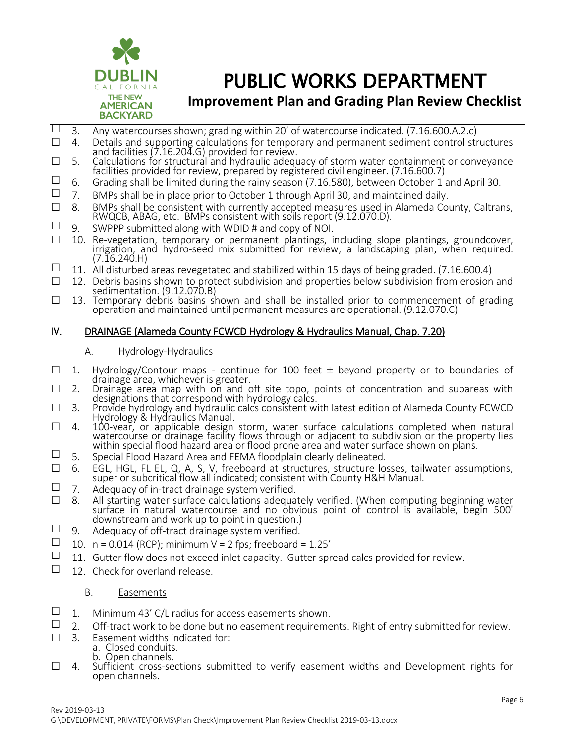

### **Improvement Plan and Grading Plan Review Checklist**

- $\Box$  3. Any watercourses shown; grading within 20' of watercourse indicated. (7.16.600.A.2.c)
- ☐ 4. Details and supporting calculations for temporary and permanent sediment control structures and facilities (7.16.204.G) provided for review.
- $\square$  5. Calculations for structural and hydraulic adequacy of storm water containment or conveyance facilities provided for review, prepared by registered civil engineer. (7.16.600.7)
- $\Box$  6. Grading shall be limited during the rainy season (7.16.580), between October 1 and April 30.
- $\Box$  7. BMPs shall be in place prior to October 1 through April 30, and maintained daily.<br>  $\Box$  8. BMPs shall be consistent with currently accepted measures used in Alameda Cor
- 8. BMPs shall be consistent with currently accepted measures used in Alameda County, Caltrans, RWQCB, ABAG, etc. BMPs consistent with soils report (9.12.070.D).
- $\Box$  9. SWPPP submitted along with WDID # and copy of NOI.
- ☐ 10. Re-vegetation, temporary or permanent plantings, including slope plantings, groundcover, irrigation, and hydro-seed mix submitted for review; a landscaping plan, when required. (7.16.240.H)
- □ 11. All disturbed areas revegetated and stabilized within 15 days of being graded. (7.16.600.4)<br>□ 12 Debris basins shown to protect subdivision and properties below subdivision from erosion
- 12. Debris basins shown to protect subdivision and properties below subdivision from erosion and sedimentation. (9.12.070.B)
- $\square$  13. Temporary debris basins shown and shall be installed prior to commencement of grading operation and maintained until permanent measures are operational. (9.12.070.C)

#### IV. DRAINAGE (Alameda County FCWCD Hydrology & Hydraulics Manual, Chap. 7.20)

#### A. Hydrology-Hydraulics

- $\Box$  1. Hydrology/Contour maps continue for 100 feet  $\pm$  beyond property or to boundaries of drainage area, whichever is greater.
- $\square$  2. Drainage area map with on and off site topo, points of concentration and subareas with designations that correspond with hydrology calcs.
- □ 3. Provide hydrology and hydraulic calcs consistent with latest edition of Alameda County FCWCD Hydrology & Hydraulics Manual.
- $\Box$  4. 100-year, or applicable design storm, water surface calculations completed when natural watercourse or drainage facility flows through or adjacent to subdivision or the property lies within special flood hazard area or flood prone area and water surface shown on plans.
- $\Box$  5. Special Flood Hazard Area and FEMA floodplain clearly delineated.
- $\Box$  6. EGL, HGL, FL EL, Q, A, S, V, freeboard at structures, structure losses, tailwater assumptions, super or subcritical flow all indicated; consistent with County H&H Manual.
- $\Box$  7. Adequacy of in-tract drainage system verified.
- ☐ 8. All starting water surface calculations adequately verified. (When computing beginning water surface in natural watercourse and no obvious point of control is available, begin 500' downstream and work up to point in question.)
- $\Box$  9. Adequacy of off-tract drainage system verified.
- $\Box$  10. n = 0.014 (RCP); minimum V = 2 fps; freeboard = 1.25'
- $\Box$  11. Gutter flow does not exceed inlet capacity. Gutter spread calcs provided for review.
- $\Box$  12. Check for overland release.

#### B. Easements

- $\Box$  1. Minimum 43' C/L radius for access easements shown.
- $\Box$  2. Off-tract work to be done but no easement requirements. Right of entry submitted for review.
- ☐ 3. Easement widths indicated for:
	- a. Closed conduits. b. Open channels.
- $\Box$  4. Sufficient cross-sections submitted to verify easement widths and Development rights for open channels.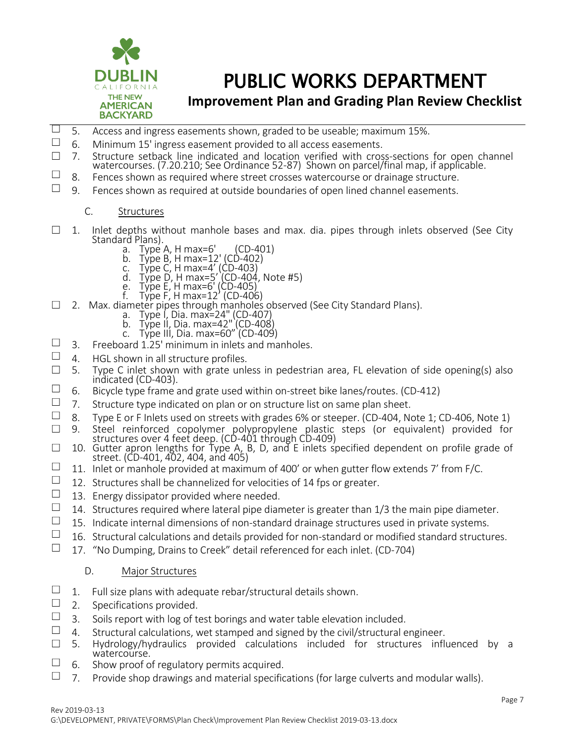

### **Improvement Plan and Grading Plan Review Checklist**

- □ 5. Access and ingress easements shown, graded to be useable; maximum 15%.<br>□ 6 Minimum 15' ingress easement provided to all access easements
- ☐ 6. Minimum 15' ingress easement provided to all access easements.
- □ 7. Structure setback line indicated and location verified with cross-sections for open channel watercourses. (7.20.210; See Ordinance 52-87) Shown on parcel/final map, if applicable.
- $\Box$  8. Fences shown as required where street crosses watercourse or drainage structure.
- $\Box$  9. Fences shown as required at outside boundaries of open lined channel easements.
	- C. Structures
- $\Box$  1. Inlet depths without manhole bases and max. dia. pipes through inlets observed (See City Standard Plans).<br>a. Type A, H max=6'
	- a. Type A, H max=6' (CD-401)
	- b. Type B, H max=12' (CD-402)
	- c. Type C, H max=4' (CD-403)
	- d. Type D, H max=5' (CD-404, Note #5)
	- e. Type E, H max=6' (CD-405)
- f. Type F, H max=12' (CD-406) f. Type F, H max=12' (CD-406)<br>2. Max. diameter pipes through manholes observed (See City Standard Plans).
	- a. Type I, Dia. max=24" (CD-407)
	- b. Type II, Dia. max=42" (CD-408)
	- c. Type III, Dia. max=60" (CD-409)
- □ 3. Freeboard 1.25' minimum in inlets and manholes.<br>□ 4 HGL shown in all structure profiles
- 4. HGL shown in all structure profiles.
- $\square$  5. Type C inlet shown with grate unless in pedestrian area, FL elevation of side opening(s) also indicated (CD-403).
- $\Box$  6. Bicycle type frame and grate used within on-street bike lanes/routes. (CD-412)
- □ 7. Structure type indicated on plan or on structure list on same plan sheet.<br>□ 8 Time For Finlets used on streets with grades 6% or steener (CD-404 No
- □ 8. Type E or F Inlets used on streets with grades 6% or steeper. (CD-404, Note 1; CD-406, Note 1)<br>□ 9. Steel reinforced copolymer polypropylene plastic steps (or equivalent) provided for
- ☐ 9. Steel reinforced copolymer polypropylene plastic steps (or equivalent) provided for structures over 4 feet deep. (CD-401 through CD-409)
- $\Box$  10. Gutter apron lengths for Type A, B, D, and E inlets specified dependent on profile grade of street. (CD-401, 402, 404, and 405)
- □ 11. Inlet or manhole provided at maximum of 400' or when gutter flow extends 7' from F/C.<br>□ 12. Structures shall be channelized for velocities of 14 fns or greater
- $\Box$  12. Structures shall be channelized for velocities of 14 fps or greater.<br>  $\Box$  13. Energy dissinator provided where needed
- $\Box$  13. Energy dissipator provided where needed.<br> $\Box$  14. Structures required where lateral pine diare
- 14. Structures required where lateral pipe diameter is greater than 1/3 the main pipe diameter.
- $\Box$  15. Indicate internal dimensions of non-standard drainage structures used in private systems.
- $\Box$  16. Structural calculations and details provided for non-standard or modified standard structures.
- $\Box$  17. "No Dumping, Drains to Creek" detail referenced for each inlet. (CD-704)

#### D. Major Structures

- $\Box$  1. Full size plans with adequate rebar/structural details shown.
- 2. Specifications provided.
- $\Box$  3. Soils report with log of test borings and water table elevation included.
- □ 4. Structural calculations, wet stamped and signed by the civil/structural engineer.<br>□ 5 Hydrology/hydraulics provided calculations included for structures influ
- 5. Hydrology/hydraulics provided calculations included for structures influenced by a watercourse<sup>'</sup>
- $\Box$  6. Show proof of regulatory permits acquired.
- $\Box$  7. Provide shop drawings and material specifications (for large culverts and modular walls).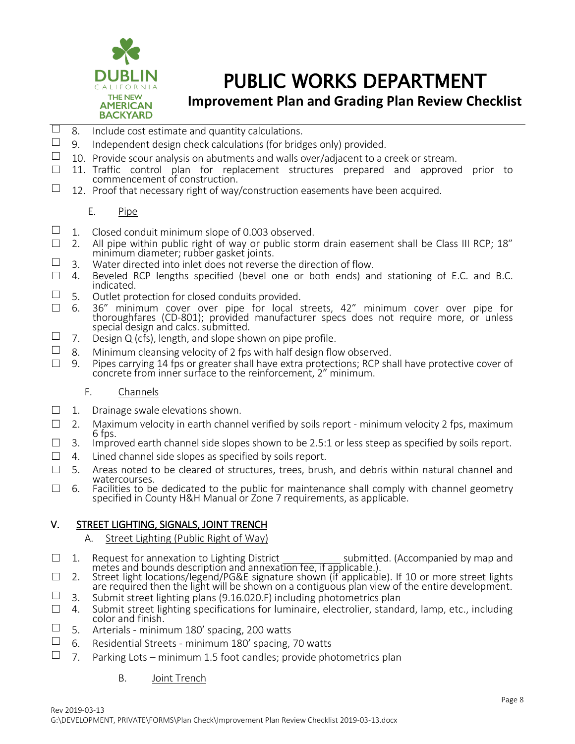

### **Improvement Plan and Grading Plan Review Checklist**

- $\Box$  8. Include cost estimate and quantity calculations.
- $\Box$  9. Independent design check calculations (for bridges only) provided.
- □ 10. Provide scour analysis on abutments and walls over/adjacent to a creek or stream.<br>□ 11 Traffic control plan for replacement structures prepared and approved
- 11. Traffic control plan for replacement structures prepared and approved prior to commencement of construction.
- $\Box$  12. Proof that necessary right of way/construction easements have been acquired.

#### E. Pipe

- □ 1. Closed conduit minimum slope of 0.003 observed.<br>□ 2. All pipe within public right of way or public storn
- $\Box$  2. All pipe within public right of way or public storm drain easement shall be Class III RCP; 18" minimum diameter; rubber gasket joints.
- $\Box$  3. Water directed into inlet does not reverse the direction of flow.
- $\Box$  4. Beveled RCP lengths specified (bevel one or both ends) and stationing of E.C. and B.C. indicated.
- $\Box$  5. Outlet protection for closed conduits provided.
- ☐ 6. 36" minimum cover over pipe for local streets, 42" minimum cover over pipe for thoroughfares (CD-801); provided manufacturer specs does not require more, or unless special design and calcs. submitted.
- $\Box$  7. Design Q (cfs), length, and slope shown on pipe profile.
- $\Box$  8. Minimum cleansing velocity of 2 fps with half design flow observed.
- ☐ 9. Pipes carrying 14 fps or greater shall have extra protections; RCP shall have protective cover of concrete from inner surface to the reinforcement, 2" minimum.

#### F. Channels

- $\Box$  1. Drainage swale elevations shown.
- $\Box$  2. Maximum velocity in earth channel verified by soils report minimum velocity 2 fps, maximum 6 fps.
- $\Box$  3. Improved earth channel side slopes shown to be 2.5:1 or less steep as specified by soils report.
- $\Box$  4. Lined channel side slopes as specified by soils report.
- $\square$  5. Areas noted to be cleared of structures, trees, brush, and debris within natural channel and watercourses.
- $\Box$  6. Facilities to be dedicated to the public for maintenance shall comply with channel geometry specified in County H&H Manual or Zone 7 requirements, as applicable.

### V. STREET LIGHTING, SIGNALS, JOINT TRENCH

#### A. Street Lighting (Public Right of Way)

- □ 1. Request for annexation to Lighting District \_\_\_\_\_\_\_\_\_\_\_\_\_ submitted. (Accompanied by map and metes and bounds description and annexation fee, if applicable.).
- ☐ 2. Street light locations/legend/PG&E signature shown (if applicable). If 10 or more street lights are required then the light will be shown on a contiguous plan view of the entire development.
- $\Box$  3. Submit street lighting plans (9.16.020.F) including photometrics plan
- $\Box$  4. Submit street lighting specifications for luminaire, electrolier, standard, lamp, etc., including color and finish.
- $\Box$  5. Arterials minimum 180' spacing, 200 watts
- $\Box$  6. Residential Streets minimum 180' spacing, 70 watts
- $\Box$  7. Parking Lots minimum 1.5 foot candles: provide photometrics plan
	- B. Joint Trench